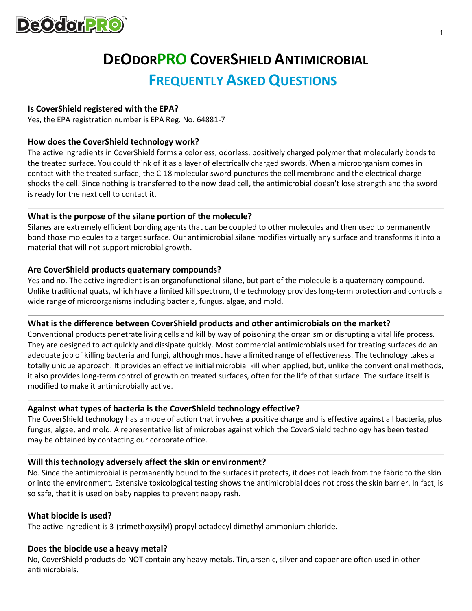

# **DEODORPRO COVERSHIELD ANTIMICROBIAL**

# **FREQUENTLY ASKED QUESTIONS**

#### **Is CoverShield registered with the EPA?**

Yes, the EPA registration number is EPA Reg. No. 64881-7

#### **How does the CoverShield technology work?**

The active ingredients in CoverShield forms a colorless, odorless, positively charged polymer that molecularly bonds to the treated surface. You could think of it as a layer of electrically charged swords. When a microorganism comes in contact with the treated surface, the C-18 molecular sword punctures the cell membrane and the electrical charge shocks the cell. Since nothing is transferred to the now dead cell, the antimicrobial doesn't lose strength and the sword is ready for the next cell to contact it.

# **What is the purpose of the silane portion of the molecule?**

Silanes are extremely efficient bonding agents that can be coupled to other molecules and then used to permanently bond those molecules to a target surface. Our antimicrobial silane modifies virtually any surface and transforms it into a material that will not support microbial growth.

#### **Are CoverShield products quaternary compounds?**

Yes and no. The active ingredient is an organofunctional silane, but part of the molecule is a quaternary compound. Unlike traditional quats, which have a limited kill spectrum, the technology provides long-term protection and controls a wide range of microorganisms including bacteria, fungus, algae, and mold.

# **What is the difference between CoverShield products and other antimicrobials on the market?**

Conventional products penetrate living cells and kill by way of poisoning the organism or disrupting a vital life process. They are designed to act quickly and dissipate quickly. Most commercial antimicrobials used for treating surfaces do an adequate job of killing bacteria and fungi, although most have a limited range of effectiveness. The technology takes a totally unique approach. It provides an effective initial microbial kill when applied, but, unlike the conventional methods, it also provides long-term control of growth on treated surfaces, often for the life of that surface. The surface itself is modified to make it antimicrobially active.

#### **Against what types of bacteria is the CoverShield technology effective?**

The CoverShield technology has a mode of action that involves a positive charge and is effective against all bacteria, plus fungus, algae, and mold. A representative list of microbes against which the CoverShield technology has been tested may be obtained by contacting our corporate office.

#### **Will this technology adversely affect the skin or environment?**

No. Since the antimicrobial is permanently bound to the surfaces it protects, it does not leach from the fabric to the skin or into the environment. Extensive toxicological testing shows the antimicrobial does not cross the skin barrier. In fact, is so safe, that it is used on baby nappies to prevent nappy rash.

#### **What biocide is used?**

The active ingredient is 3-(trimethoxysilyl) propyl octadecyl dimethyl ammonium chloride.

#### **Does the biocide use a heavy metal?**

No, CoverShield products do NOT contain any heavy metals. Tin, arsenic, silver and copper are often used in other antimicrobials.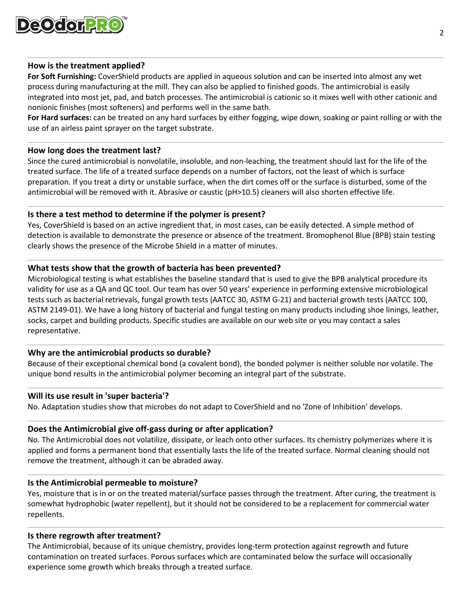

#### **How is the treatment applied?**

**For Soft Furnishing:** CoverShield products are applied in aqueous solution and can be inserted into almost any wet process during manufacturing at the mill. They can also be applied to finished goods. The antimicrobial is easily integrated into most jet, pad, and batch processes. The antimicrobial is cationic so it mixes well with other cationic and nonionic finishes (most softeners) and performs well in the same bath.

**For Hard surfaces:** can be treated on any hard surfaces by either fogging, wipe down, soaking or paint rolling or with the use of an airless paint sprayer on the target substrate.

#### **How long does the treatment last?**

Since the cured antimicrobial is nonvolatile, insoluble, and non-leaching, the treatment should last for the life of the treated surface. The life of a treated surface depends on a number of factors, not the least of which is surface preparation. If you treat a dirty or unstable surface, when the dirt comes off or the surface is disturbed, some of the antimicrobial will be removed with it. Abrasive or caustic (pH>10.5) cleaners will also shorten effective life.

# **Is there a test method to determine if the polymer is present?**

Yes, CoverShield is based on an active ingredient that, in most cases, can be easily detected. A simple method of detection is available to demonstrate the presence or absence of the treatment. Bromophenol Blue (BPB) stain testing clearly shows the presence of the Microbe Shield in a matter of minutes.

# **What tests show that the growth of bacteria has been prevented?**

Microbiological testing is what establishes the baseline standard that is used to give the BPB analytical procedure its validity for use as a QA and QC tool. Our team has over 50 years' experience in performing extensive microbiological tests such as bacterial retrievals, fungal growth tests (AATCC 30, ASTM G-21) and bacterial growth tests (AATCC 100, ASTM 2149-01). We have a long history of bacterial and fungal testing on many products including shoe linings, leather, socks, carpet and building products. Specific studies are available on our web site or you may contact a sales representative.

# **Why are the antimicrobial products so durable?**

Because of their exceptional chemical bond (a covalent bond), the bonded polymer is neither soluble nor volatile. The unique bond results in the antimicrobial polymer becoming an integral part of the substrate.

#### **Will its use result in 'super bacteria'?**

No. Adaptation studies show that microbes do not adapt to CoverShield and no 'Zone of Inhibition' develops.

#### **Does the Antimicrobial give off-gass during or after application?**

No. The Antimicrobial does not volatilize, dissipate, or leach onto other surfaces. Its chemistry polymerizes where it is applied and forms a permanent bond that essentially lasts the life of the treated surface. Normal cleaning should not remove the treatment, although it can be abraded away.

#### **Is the Antimicrobial permeable to moisture?**

Yes, moisture that is in or on the treated material/surface passes through the treatment. After curing, the treatment is somewhat hydrophobic (water repellent), but it should not be considered to be a replacement for commercial water repellents.

#### **Is there regrowth after treatment?**

The Antimicrobial, because of its unique chemistry, provides long-term protection against regrowth and future contamination on treated surfaces. Porous surfaces which are contaminated below the surface will occasionally experience some growth which breaks through a treated surface.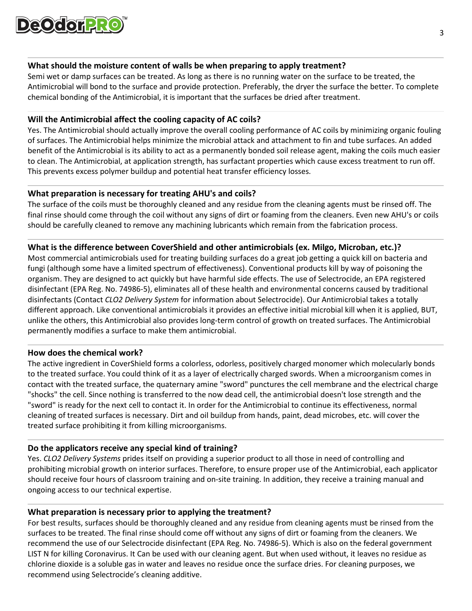

# **What should the moisture content of walls be when preparing to apply treatment?**

Semi wet or damp surfaces can be treated. As long as there is no running water on the surface to be treated, the Antimicrobial will bond to the surface and provide protection. Preferably, the dryer the surface the better. To complete chemical bonding of the Antimicrobial, it is important that the surfaces be dried after treatment.

# **Will the Antimicrobial affect the cooling capacity of AC coils?**

Yes. The Antimicrobial should actually improve the overall cooling performance of AC coils by minimizing organic fouling of surfaces. The Antimicrobial helps minimize the microbial attack and attachment to fin and tube surfaces. An added benefit of the Antimicrobial is its ability to act as a permanently bonded soil release agent, making the coils much easier to clean. The Antimicrobial, at application strength, has surfactant properties which cause excess treatment to run off. This prevents excess polymer buildup and potential heat transfer efficiency losses.

# **What preparation is necessary for treating AHU's and coils?**

The surface of the coils must be thoroughly cleaned and any residue from the cleaning agents must be rinsed off. The final rinse should come through the coil without any signs of dirt or foaming from the cleaners. Even new AHU's or coils should be carefully cleaned to remove any machining lubricants which remain from the fabrication process.

# **What is the difference between CoverShield and other antimicrobials (ex. Milgo, Microban, etc.)?**

Most commercial antimicrobials used for treating building surfaces do a great job getting a quick kill on bacteria and fungi (although some have a limited spectrum of effectiveness). Conventional products kill by way of poisoning the organism. They are designed to act quickly but have harmful side effects. The use of Selectrocide, an EPA registered disinfectant (EPA Reg. No. 74986-5), eliminates all of these health and environmental concerns caused by traditional disinfectants (Contact *CLO2 Delivery System* for information about Selectrocide). Our Antimicrobial takes a totally different approach. Like conventional antimicrobials it provides an effective initial microbial kill when it is applied, BUT, unlike the others, this Antimicrobial also provides long-term control of growth on treated surfaces. The Antimicrobial permanently modifies a surface to make them antimicrobial.

# **How does the chemical work?**

The active ingredient in CoverShield forms a colorless, odorless, positively charged monomer which molecularly bonds to the treated surface. You could think of it as a layer of electrically charged swords. When a microorganism comes in contact with the treated surface, the quaternary amine "sword" punctures the cell membrane and the electrical charge "shocks" the cell. Since nothing is transferred to the now dead cell, the antimicrobial doesn't lose strength and the "sword" is ready for the next cell to contact it. In order for the Antimicrobial to continue its effectiveness, normal cleaning of treated surfaces is necessary. Dirt and oil buildup from hands, paint, dead microbes, etc. will cover the treated surface prohibiting it from killing microorganisms.

# **Do the applicators receive any special kind of training?**

Yes. *CLO2 Delivery Systems* prides itself on providing a superior product to all those in need of controlling and prohibiting microbial growth on interior surfaces. Therefore, to ensure proper use of the Antimicrobial, each applicator should receive four hours of classroom training and on-site training. In addition, they receive a training manual and ongoing access to our technical expertise.

# **What preparation is necessary prior to applying the treatment?**

For best results, surfaces should be thoroughly cleaned and any residue from cleaning agents must be rinsed from the surfaces to be treated. The final rinse should come off without any signs of dirt or foaming from the cleaners. We recommend the use of our Selectrocide disinfectant (EPA Reg. No. 74986-5). Which is also on the federal government LIST N for killing Coronavirus. It Can be used with our cleaning agent. But when used without, it leaves no residue as chlorine dioxide is a soluble gas in water and leaves no residue once the surface dries. For cleaning purposes, we recommend using Selectrocide's cleaning additive.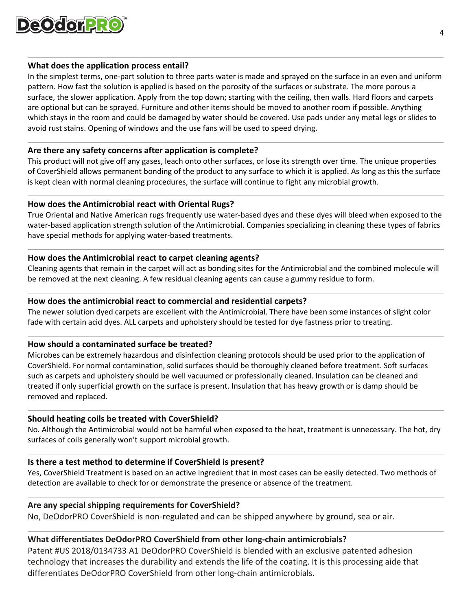

#### **What does the application process entail?**

In the simplest terms, one-part solution to three parts water is made and sprayed on the surface in an even and uniform pattern. How fast the solution is applied is based on the porosity of the surfaces or substrate. The more porous a surface, the slower application. Apply from the top down; starting with the ceiling, then walls. Hard floors and carpets are optional but can be sprayed. Furniture and other items should be moved to another room if possible. Anything which stays in the room and could be damaged by water should be covered. Use pads under any metal legs or slides to avoid rust stains. Opening of windows and the use fans will be used to speed drying.

#### **Are there any safety concerns after application is complete?**

This product will not give off any gases, leach onto other surfaces, or lose its strength over time. The unique properties of CoverShield allows permanent bonding of the product to any surface to which it is applied. As long as this the surface is kept clean with normal cleaning procedures, the surface will continue to fight any microbial growth.

# **How does the Antimicrobial react with Oriental Rugs?**

True Oriental and Native American rugs frequently use water-based dyes and these dyes will bleed when exposed to the water-based application strength solution of the Antimicrobial. Companies specializing in cleaning these types of fabrics have special methods for applying water-based treatments.

#### **How does the Antimicrobial react to carpet cleaning agents?**

Cleaning agents that remain in the carpet will act as bonding sites for the Antimicrobial and the combined molecule will be removed at the next cleaning. A few residual cleaning agents can cause a gummy residue to form.

#### **How does the antimicrobial react to commercial and residential carpets?**

The newer solution dyed carpets are excellent with the Antimicrobial. There have been some instances of slight color fade with certain acid dyes. ALL carpets and upholstery should be tested for dye fastness prior to treating.

# **How should a contaminated surface be treated?**

Microbes can be extremely hazardous and disinfection cleaning protocols should be used prior to the application of CoverShield. For normal contamination, solid surfaces should be thoroughly cleaned before treatment. Soft surfaces such as carpets and upholstery should be well vacuumed or professionally cleaned. Insulation can be cleaned and treated if only superficial growth on the surface is present. Insulation that has heavy growth or is damp should be removed and replaced.

# **Should heating coils be treated with CoverShield?**

No. Although the Antimicrobial would not be harmful when exposed to the heat, treatment is unnecessary. The hot, dry surfaces of coils generally won't support microbial growth.

# **Is there a test method to determine if CoverShield is present?**

Yes, CoverShield Treatment is based on an active ingredient that in most cases can be easily detected. Two methods of detection are available to check for or demonstrate the presence or absence of the treatment.

#### **Are any special shipping requirements for CoverShield?**

No, DeOdorPRO CoverShield is non-regulated and can be shipped anywhere by ground, sea or air.

# **What differentiates DeOdorPRO CoverShield from other long-chain antimicrobials?**

Patent #US 2018/0134733 A1 DeOdorPRO CoverShield is blended with an exclusive patented adhesion technology that increases the durability and extends the life of the coating. It is this processing aide that differentiates DeOdorPRO CoverShield from other long-chain antimicrobials.